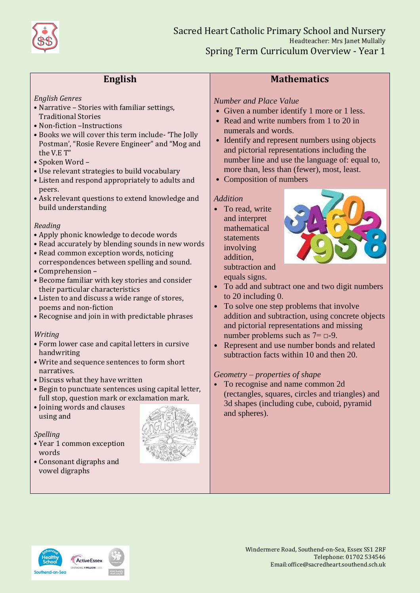

# **English**

#### *English Genres*

- Narrative Stories with familiar settings, Traditional Stories
- Non-fiction –Instructions
- Books we will cover this term include- 'The Jolly Postman', "Rosie Revere Engineer" and "Mog and the V.E T"
- Spoken Word –
- Use relevant strategies to build vocabulary
- Listen and respond appropriately to adults and peers.
- Ask relevant questions to extend knowledge and build understanding

#### *Reading*

- Apply phonic knowledge to decode words
- Read accurately by blending sounds in new words
- Read common exception words, noticing correspondences between spelling and sound.
- Comprehension –
- Become familiar with key stories and consider their particular characteristics
- Listen to and discuss a wide range of stores, poems and non-fiction
- Recognise and join in with predictable phrases

#### *Writing*

- Form lower case and capital letters in cursive handwriting
- Write and sequence sentences to form short narratives.
- Discuss what they have written
- Begin to punctuate sentences using capital letter, full stop, question mark or exclamation mark.
- Joining words and clauses using and

#### *Spelling*

- Year 1 common exception words
- Consonant digraphs and vowel digraphs



# **Mathematics**

## *Number and Place Value*

- Given a number identify 1 more or 1 less.
- Read and write numbers from 1 to 20 in numerals and words.
- Identify and represent numbers using objects and pictorial representations including the number line and use the language of: equal to, more than, less than (fewer), most, least.
- Composition of numbers

#### *Addition*

• To read, write and interpret mathematical statements involving addition, subtraction and equals signs.



- To add and subtract one and two digit numbers to 20 including 0.
- To solve one step problems that involve addition and subtraction, using concrete objects and pictorial representations and missing number problems such as  $7 = \square - 9$ .
- Represent and use number bonds and related subtraction facts within 10 and then 20.

## *Geometry – properties of shape*

• To recognise and name common 2d (rectangles, squares, circles and triangles) and 3d shapes (including cube, cuboid, pyramid and spheres).